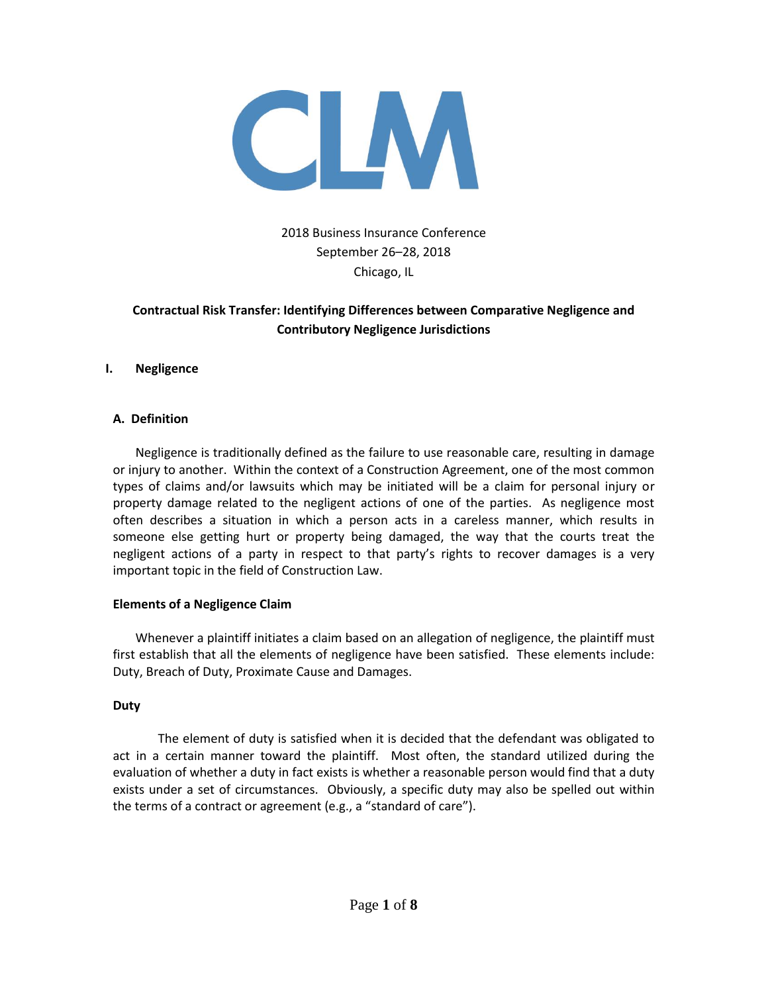

# 2018 Business Insurance Conference September 26–28, 2018 Chicago, IL

# **Contractual Risk Transfer: Identifying Differences between Comparative Negligence and Contributory Negligence Jurisdictions**

### **I. Negligence**

### **A. Definition**

Negligence is traditionally defined as the failure to use reasonable care, resulting in damage or injury to another. Within the context of a Construction Agreement, one of the most common types of claims and/or lawsuits which may be initiated will be a claim for personal injury or property damage related to the negligent actions of one of the parties. As negligence most often describes a situation in which a person acts in a careless manner, which results in someone else getting hurt or property being damaged, the way that the courts treat the negligent actions of a party in respect to that party's rights to recover damages is a very important topic in the field of Construction Law.

#### **Elements of a Negligence Claim**

Whenever a plaintiff initiates a claim based on an allegation of negligence, the plaintiff must first establish that all the elements of negligence have been satisfied. These elements include: Duty, Breach of Duty, Proximate Cause and Damages.

#### **Duty**

The element of duty is satisfied when it is decided that the defendant was obligated to act in a certain manner toward the plaintiff. Most often, the standard utilized during the evaluation of whether a duty in fact exists is whether a reasonable person would find that a duty exists under a set of circumstances. Obviously, a specific duty may also be spelled out within the terms of a contract or agreement (e.g., a "standard of care").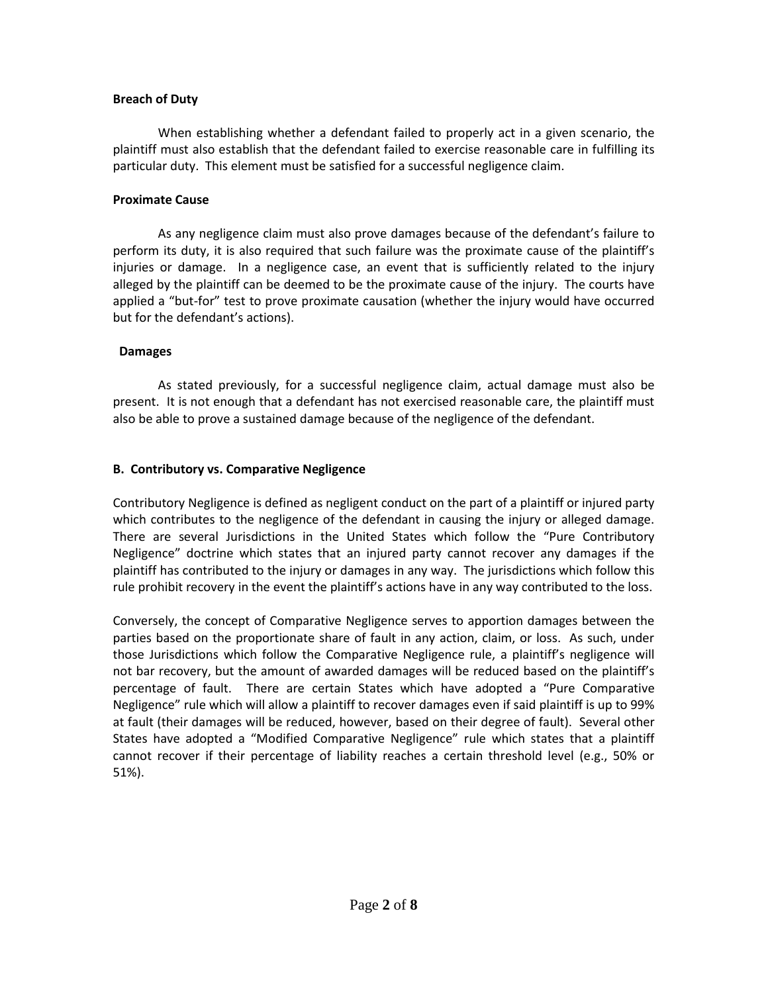### **Breach of Duty**

When establishing whether a defendant failed to properly act in a given scenario, the plaintiff must also establish that the defendant failed to exercise reasonable care in fulfilling its particular duty. This element must be satisfied for a successful negligence claim.

### **Proximate Cause**

As any negligence claim must also prove damages because of the defendant's failure to perform its duty, it is also required that such failure was the proximate cause of the plaintiff's injuries or damage. In a negligence case, an event that is sufficiently related to the injury alleged by the plaintiff can be deemed to be the proximate cause of the injury. The courts have applied a "but-for" test to prove proximate causation (whether the injury would have occurred but for the defendant's actions).

### **Damages**

As stated previously, for a successful negligence claim, actual damage must also be present. It is not enough that a defendant has not exercised reasonable care, the plaintiff must also be able to prove a sustained damage because of the negligence of the defendant.

# **B. Contributory vs. Comparative Negligence**

Contributory Negligence is defined as negligent conduct on the part of a plaintiff or injured party which contributes to the negligence of the defendant in causing the injury or alleged damage. There are several Jurisdictions in the United States which follow the "Pure Contributory Negligence" doctrine which states that an injured party cannot recover any damages if the plaintiff has contributed to the injury or damages in any way. The jurisdictions which follow this rule prohibit recovery in the event the plaintiff's actions have in any way contributed to the loss.

Conversely, the concept of Comparative Negligence serves to apportion damages between the parties based on the proportionate share of fault in any action, claim, or loss. As such, under those Jurisdictions which follow the Comparative Negligence rule, a plaintiff's negligence will not bar recovery, but the amount of awarded damages will be reduced based on the plaintiff's percentage of fault. There are certain States which have adopted a "Pure Comparative Negligence" rule which will allow a plaintiff to recover damages even if said plaintiff is up to 99% at fault (their damages will be reduced, however, based on their degree of fault). Several other States have adopted a "Modified Comparative Negligence" rule which states that a plaintiff cannot recover if their percentage of liability reaches a certain threshold level (e.g., 50% or 51%).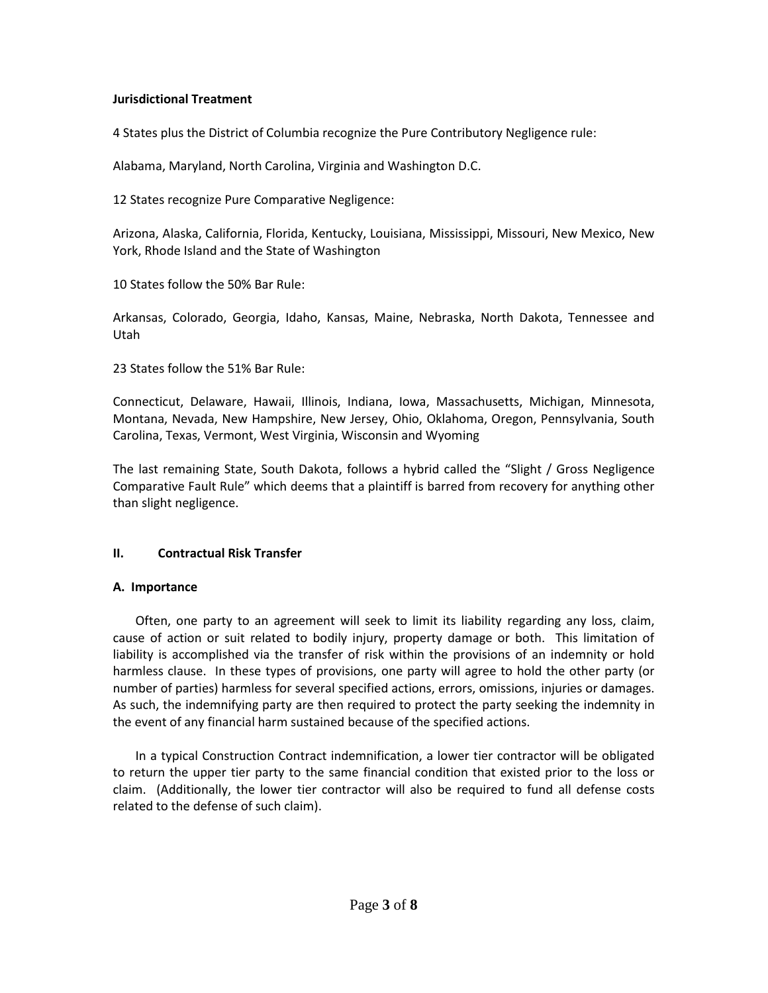### **Jurisdictional Treatment**

4 States plus the District of Columbia recognize the Pure Contributory Negligence rule:

Alabama, Maryland, North Carolina, Virginia and Washington D.C.

12 States recognize Pure Comparative Negligence:

Arizona, Alaska, California, Florida, Kentucky, Louisiana, Mississippi, Missouri, New Mexico, New York, Rhode Island and the State of Washington

10 States follow the 50% Bar Rule:

Arkansas, Colorado, Georgia, Idaho, Kansas, Maine, Nebraska, North Dakota, Tennessee and Utah

23 States follow the 51% Bar Rule:

Connecticut, Delaware, Hawaii, Illinois, Indiana, Iowa, Massachusetts, Michigan, Minnesota, Montana, Nevada, New Hampshire, New Jersey, Ohio, Oklahoma, Oregon, Pennsylvania, South Carolina, Texas, Vermont, West Virginia, Wisconsin and Wyoming

The last remaining State, South Dakota, follows a hybrid called the "Slight / Gross Negligence Comparative Fault Rule" which deems that a plaintiff is barred from recovery for anything other than slight negligence.

# **II. Contractual Risk Transfer**

#### **A. Importance**

Often, one party to an agreement will seek to limit its liability regarding any loss, claim, cause of action or suit related to bodily injury, property damage or both. This limitation of liability is accomplished via the transfer of risk within the provisions of an indemnity or hold harmless clause. In these types of provisions, one party will agree to hold the other party (or number of parties) harmless for several specified actions, errors, omissions, injuries or damages. As such, the indemnifying party are then required to protect the party seeking the indemnity in the event of any financial harm sustained because of the specified actions.

In a typical Construction Contract indemnification, a lower tier contractor will be obligated to return the upper tier party to the same financial condition that existed prior to the loss or claim. (Additionally, the lower tier contractor will also be required to fund all defense costs related to the defense of such claim).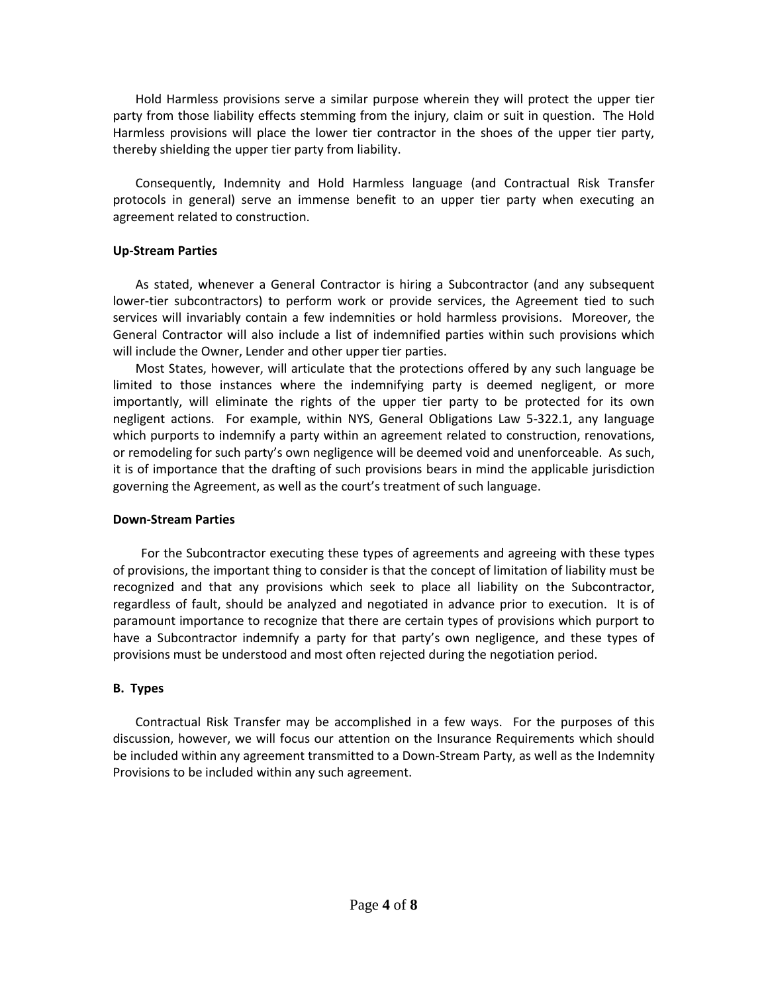Hold Harmless provisions serve a similar purpose wherein they will protect the upper tier party from those liability effects stemming from the injury, claim or suit in question. The Hold Harmless provisions will place the lower tier contractor in the shoes of the upper tier party, thereby shielding the upper tier party from liability.

Consequently, Indemnity and Hold Harmless language (and Contractual Risk Transfer protocols in general) serve an immense benefit to an upper tier party when executing an agreement related to construction.

### **Up-Stream Parties**

As stated, whenever a General Contractor is hiring a Subcontractor (and any subsequent lower-tier subcontractors) to perform work or provide services, the Agreement tied to such services will invariably contain a few indemnities or hold harmless provisions. Moreover, the General Contractor will also include a list of indemnified parties within such provisions which will include the Owner, Lender and other upper tier parties.

Most States, however, will articulate that the protections offered by any such language be limited to those instances where the indemnifying party is deemed negligent, or more importantly, will eliminate the rights of the upper tier party to be protected for its own negligent actions. For example, within NYS, General Obligations Law 5-322.1, any language which purports to indemnify a party within an agreement related to construction, renovations, or remodeling for such party's own negligence will be deemed void and unenforceable. As such, it is of importance that the drafting of such provisions bears in mind the applicable jurisdiction governing the Agreement, as well as the court's treatment of such language.

#### **Down-Stream Parties**

For the Subcontractor executing these types of agreements and agreeing with these types of provisions, the important thing to consider is that the concept of limitation of liability must be recognized and that any provisions which seek to place all liability on the Subcontractor, regardless of fault, should be analyzed and negotiated in advance prior to execution. It is of paramount importance to recognize that there are certain types of provisions which purport to have a Subcontractor indemnify a party for that party's own negligence, and these types of provisions must be understood and most often rejected during the negotiation period.

# **B. Types**

Contractual Risk Transfer may be accomplished in a few ways. For the purposes of this discussion, however, we will focus our attention on the Insurance Requirements which should be included within any agreement transmitted to a Down-Stream Party, as well as the Indemnity Provisions to be included within any such agreement.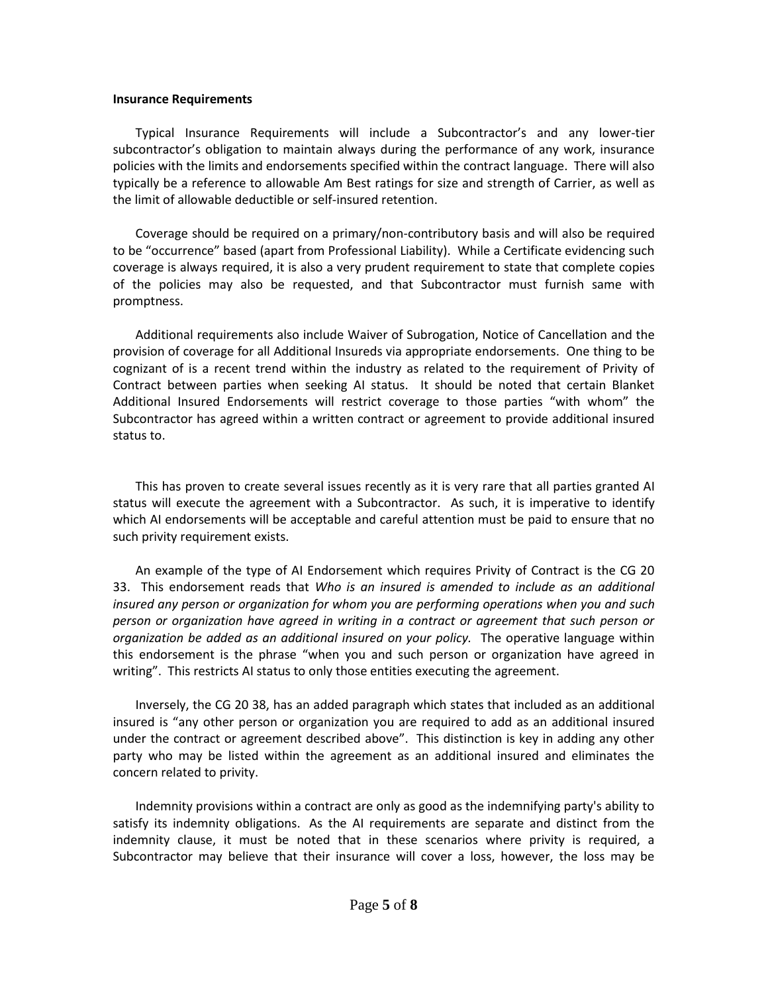#### **Insurance Requirements**

Typical Insurance Requirements will include a Subcontractor's and any lower-tier subcontractor's obligation to maintain always during the performance of any work, insurance policies with the limits and endorsements specified within the contract language. There will also typically be a reference to allowable Am Best ratings for size and strength of Carrier, as well as the limit of allowable deductible or self-insured retention.

Coverage should be required on a primary/non-contributory basis and will also be required to be "occurrence" based (apart from Professional Liability). While a Certificate evidencing such coverage is always required, it is also a very prudent requirement to state that complete copies of the policies may also be requested, and that Subcontractor must furnish same with promptness.

Additional requirements also include Waiver of Subrogation, Notice of Cancellation and the provision of coverage for all Additional Insureds via appropriate endorsements. One thing to be cognizant of is a recent trend within the industry as related to the requirement of Privity of Contract between parties when seeking AI status. It should be noted that certain Blanket Additional Insured Endorsements will restrict coverage to those parties "with whom" the Subcontractor has agreed within a written contract or agreement to provide additional insured status to.

This has proven to create several issues recently as it is very rare that all parties granted AI status will execute the agreement with a Subcontractor. As such, it is imperative to identify which AI endorsements will be acceptable and careful attention must be paid to ensure that no such privity requirement exists.

An example of the type of AI Endorsement which requires Privity of Contract is the CG 20 33. This endorsement reads that *Who is an insured is amended to include as an additional insured any person or organization for whom you are performing operations when you and such person or organization have agreed in writing in a contract or agreement that such person or organization be added as an additional insured on your policy.* The operative language within this endorsement is the phrase "when you and such person or organization have agreed in writing". This restricts AI status to only those entities executing the agreement.

Inversely, the CG 20 38, has an added paragraph which states that included as an additional insured is "any other person or organization you are required to add as an additional insured under the contract or agreement described above". This distinction is key in adding any other party who may be listed within the agreement as an additional insured and eliminates the concern related to privity.

Indemnity provisions within a contract are only as good as the indemnifying party's ability to satisfy its indemnity obligations. As the AI requirements are separate and distinct from the indemnity clause, it must be noted that in these scenarios where privity is required, a Subcontractor may believe that their insurance will cover a loss, however, the loss may be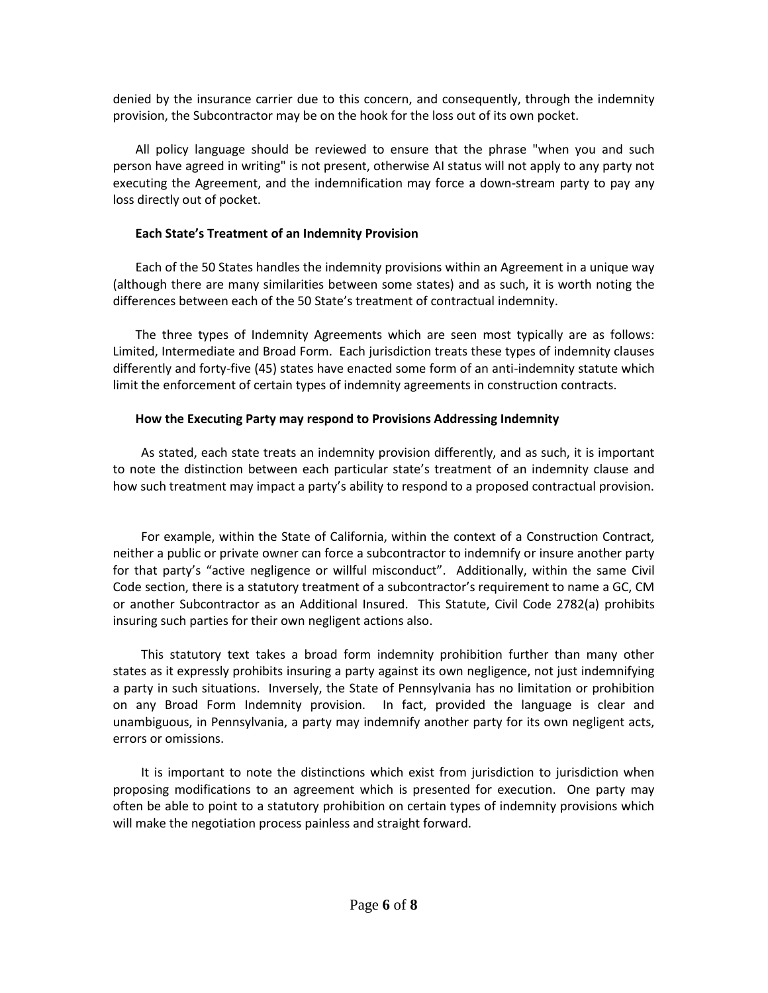denied by the insurance carrier due to this concern, and consequently, through the indemnity provision, the Subcontractor may be on the hook for the loss out of its own pocket.

All policy language should be reviewed to ensure that the phrase "when you and such person have agreed in writing" is not present, otherwise AI status will not apply to any party not executing the Agreement, and the indemnification may force a down-stream party to pay any loss directly out of pocket.

### **Each State's Treatment of an Indemnity Provision**

Each of the 50 States handles the indemnity provisions within an Agreement in a unique way (although there are many similarities between some states) and as such, it is worth noting the differences between each of the 50 State's treatment of contractual indemnity.

The three types of Indemnity Agreements which are seen most typically are as follows: Limited, Intermediate and Broad Form. Each jurisdiction treats these types of indemnity clauses differently and forty-five (45) states have enacted some form of an anti-indemnity statute which limit the enforcement of certain types of indemnity agreements in construction contracts.

# **How the Executing Party may respond to Provisions Addressing Indemnity**

As stated, each state treats an indemnity provision differently, and as such, it is important to note the distinction between each particular state's treatment of an indemnity clause and how such treatment may impact a party's ability to respond to a proposed contractual provision.

For example, within the State of California, within the context of a Construction Contract, neither a public or private owner can force a subcontractor to indemnify or insure another party for that party's "active negligence or willful misconduct". Additionally, within the same Civil Code section, there is a statutory treatment of a subcontractor's requirement to name a GC, CM or another Subcontractor as an Additional Insured. This Statute, Civil Code 2782(a) prohibits insuring such parties for their own negligent actions also.

This statutory text takes a broad form indemnity prohibition further than many other states as it expressly prohibits insuring a party against its own negligence, not just indemnifying a party in such situations. Inversely, the State of Pennsylvania has no limitation or prohibition on any Broad Form Indemnity provision. In fact, provided the language is clear and unambiguous, in Pennsylvania, a party may indemnify another party for its own negligent acts, errors or omissions.

It is important to note the distinctions which exist from jurisdiction to jurisdiction when proposing modifications to an agreement which is presented for execution. One party may often be able to point to a statutory prohibition on certain types of indemnity provisions which will make the negotiation process painless and straight forward.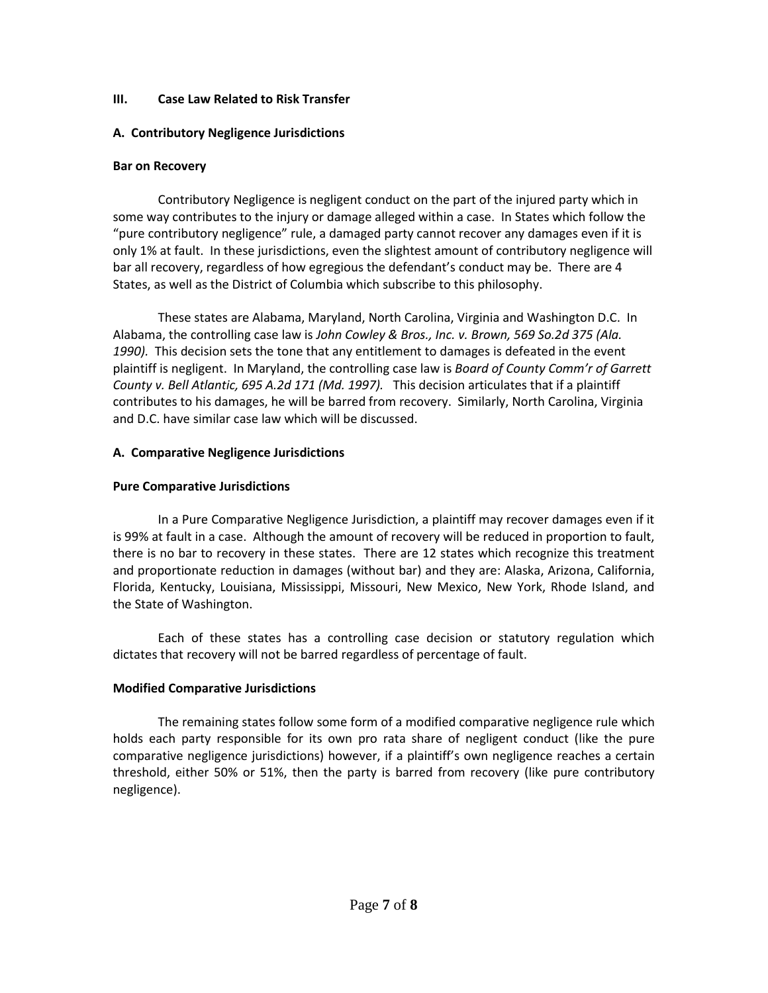### **III. Case Law Related to Risk Transfer**

# **A. Contributory Negligence Jurisdictions**

### **Bar on Recovery**

Contributory Negligence is negligent conduct on the part of the injured party which in some way contributes to the injury or damage alleged within a case. In States which follow the "pure contributory negligence" rule, a damaged party cannot recover any damages even if it is only 1% at fault. In these jurisdictions, even the slightest amount of contributory negligence will bar all recovery, regardless of how egregious the defendant's conduct may be. There are 4 States, as well as the District of Columbia which subscribe to this philosophy.

These states are Alabama, Maryland, North Carolina, Virginia and Washington D.C. In Alabama, the controlling case law is *John Cowley & Bros., Inc. v. Brown, 569 So.2d 375 (Ala.*  1990). This decision sets the tone that any entitlement to damages is defeated in the event plaintiff is negligent. In Maryland, the controlling case law is *Board of County Comm'r of Garrett County v. Bell Atlantic, 695 A.2d 171 (Md. 1997).* This decision articulates that if a plaintiff contributes to his damages, he will be barred from recovery. Similarly, North Carolina, Virginia and D.C. have similar case law which will be discussed.

# **A. Comparative Negligence Jurisdictions**

# **Pure Comparative Jurisdictions**

In a Pure Comparative Negligence Jurisdiction, a plaintiff may recover damages even if it is 99% at fault in a case. Although the amount of recovery will be reduced in proportion to fault, there is no bar to recovery in these states. There are 12 states which recognize this treatment and proportionate reduction in damages (without bar) and they are: Alaska, Arizona, California, Florida, Kentucky, Louisiana, Mississippi, Missouri, New Mexico, New York, Rhode Island, and the State of Washington.

Each of these states has a controlling case decision or statutory regulation which dictates that recovery will not be barred regardless of percentage of fault.

# **Modified Comparative Jurisdictions**

The remaining states follow some form of a modified comparative negligence rule which holds each party responsible for its own pro rata share of negligent conduct (like the pure comparative negligence jurisdictions) however, if a plaintiff's own negligence reaches a certain threshold, either 50% or 51%, then the party is barred from recovery (like pure contributory negligence).